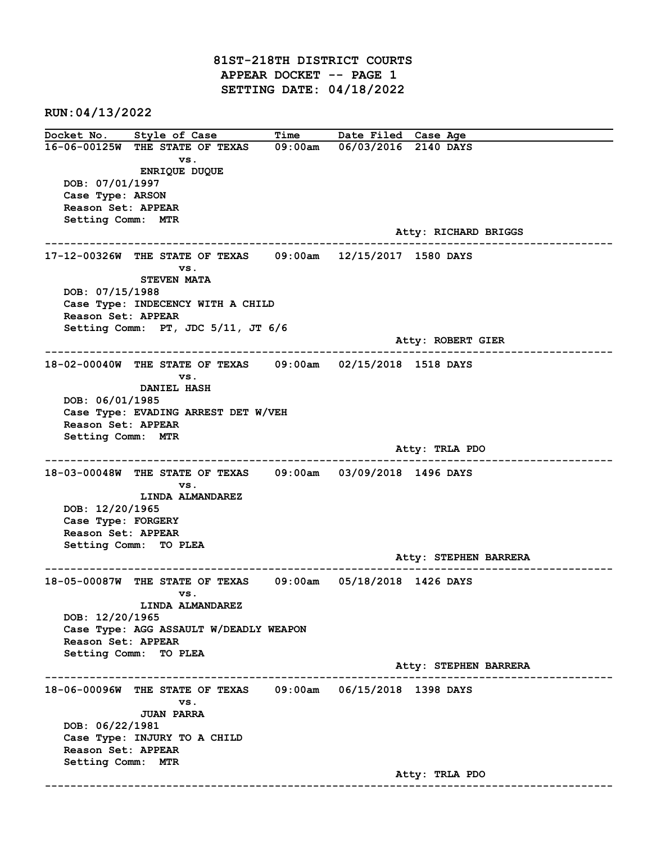81ST-218TH DISTRICT COURTS APPEAR DOCKET -- PAGE 1 SETTING DATE: 04/18/2022

RUN:04/13/2022

Docket No. Style of Case Time Date Filed Case Age 16-06-00125W THE STATE OF TEXAS 09:00am 06/03/2016 2140 DAYS vs. ENRIQUE DUQUE DOB: 07/01/1997 Case Type: ARSON Reason Set: APPEAR Setting Comm: MTR Atty: RICHARD BRIGGS ------------------------------------------------------------------------------------------------------------------------ 17-12-00326W THE STATE OF TEXAS 09:00am 12/15/2017 1580 DAYS vs. STEVEN MATA DOB: 07/15/1988 Case Type: INDECENCY WITH A CHILD Reason Set: APPEAR Setting Comm: PT, JDC 5/11, JT 6/6 Atty: ROBERT GIER ------------------------------------------------------------------------------------------------------------------------ 18-02-00040W THE STATE OF TEXAS 09:00am 02/15/2018 1518 DAYS vs. DANIEL HASH DOB: 06/01/1985 Case Type: EVADING ARREST DET W/VEH Reason Set: APPEAR Setting Comm: MTR Atty: TRLA PDO ------------------------------------------------------------------------------------------------------------------------ 18-03-00048W THE STATE OF TEXAS 09:00am 03/09/2018 1496 DAYS vs. LINDA ALMANDAREZ DOB: 12/20/1965 Case Type: FORGERY Reason Set: APPEAR Setting Comm: TO PLEA Atty: STEPHEN BARRERA ------------------------------------------------------------------------------------------------------------------------ 18-05-00087W THE STATE OF TEXAS 09:00am 05/18/2018 1426 DAYS vs. LINDA ALMANDAREZ DOB: 12/20/1965 Case Type: AGG ASSAULT W/DEADLY WEAPON Reason Set: APPEAR Setting Comm: TO PLEA Atty: STEPHEN BARRERA ------------------------------------------------------------------------------------------------------------------------ 18-06-00096W THE STATE OF TEXAS 09:00am 06/15/2018 1398 DAYS vs. JUAN PARRA DOB: 06/22/1981 Case Type: INJURY TO A CHILD Reason Set: APPEAR Setting Comm: MTR Atty: TRLA PDO ------------------------------------------------------------------------------------------------------------------------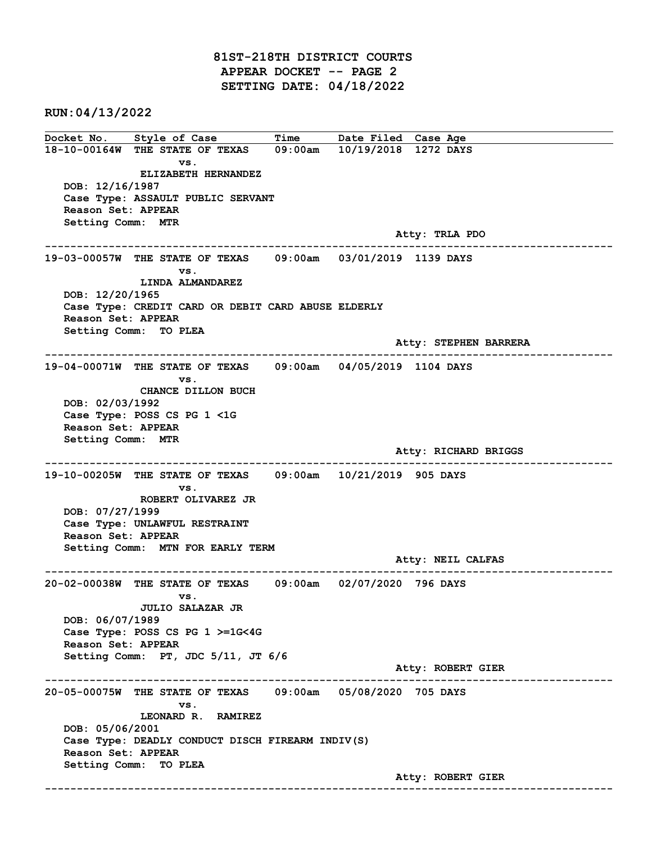81ST-218TH DISTRICT COURTS APPEAR DOCKET -- PAGE 2 SETTING DATE: 04/18/2022

RUN:04/13/2022

Docket No. Style of Case Time Date Filed Case Age 18-10-00164W THE STATE OF TEXAS 09:00am 10/19/2018 1272 DAYS vs. ELIZABETH HERNANDEZ DOB: 12/16/1987 Case Type: ASSAULT PUBLIC SERVANT Reason Set: APPEAR Setting Comm: MTR Atty: TRLA PDO ------------------------------------------------------------------------------------------------------------------------ 19-03-00057W THE STATE OF TEXAS 09:00am 03/01/2019 1139 DAYS vs. LINDA ALMANDAREZ DOB: 12/20/1965 Case Type: CREDIT CARD OR DEBIT CARD ABUSE ELDERLY Reason Set: APPEAR Setting Comm: TO PLEA Atty: STEPHEN BARRERA ------------------------------------------------------------------------------------------------------------------------ 19-04-00071W THE STATE OF TEXAS 09:00am 04/05/2019 1104 DAYS vs. CHANCE DILLON BUCH DOB: 02/03/1992 Case Type: POSS CS PG 1 <1G Reason Set: APPEAR Setting Comm: MTR Atty: RICHARD BRIGGS ------------------------------------------------------------------------------------------------------------------------ 19-10-00205W THE STATE OF TEXAS 09:00am 10/21/2019 905 DAYS vs. ROBERT OLIVAREZ JR DOB: 07/27/1999 Case Type: UNLAWFUL RESTRAINT Reason Set: APPEAR Setting Comm: MTN FOR EARLY TERM Atty: NEIL CALFAS ------------------------------------------------------------------------------------------------------------------------ 20-02-00038W THE STATE OF TEXAS 09:00am 02/07/2020 796 DAYS vs. JULIO SALAZAR JR DOB: 06/07/1989 Case Type: POSS CS PG 1 >=1G<4G Reason Set: APPEAR Setting Comm: PT, JDC 5/11, JT 6/6 Atty: ROBERT GIER ------------------------------------------------------------------------------------------------------------------------ 20-05-00075W THE STATE OF TEXAS 09:00am 05/08/2020 705 DAYS vs. LEONARD R. RAMIREZ DOB: 05/06/2001 Case Type: DEADLY CONDUCT DISCH FIREARM INDIV(S) Reason Set: APPEAR Setting Comm: TO PLEA Atty: ROBERT GIER ------------------------------------------------------------------------------------------------------------------------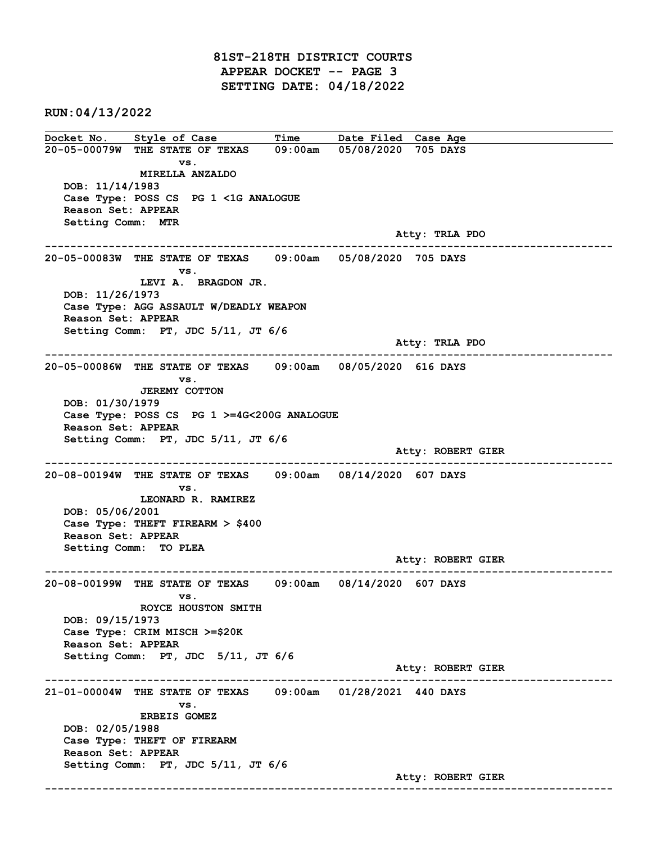81ST-218TH DISTRICT COURTS APPEAR DOCKET -- PAGE 3 SETTING DATE: 04/18/2022

RUN:04/13/2022

Docket No. Style of Case Time Date Filed Case Age 20-05-00079W THE STATE OF TEXAS 09:00am 05/08/2020 705 DAYS vs. MIRELLA ANZALDO DOB: 11/14/1983 Case Type: POSS CS PG 1 <1G ANALOGUE Reason Set: APPEAR Setting Comm: MTR Atty: TRLA PDO ------------------------------------------------------------------------------------------------------------------------ 20-05-00083W THE STATE OF TEXAS 09:00am 05/08/2020 705 DAYS vs. LEVI A. BRAGDON JR. DOB: 11/26/1973 Case Type: AGG ASSAULT W/DEADLY WEAPON Reason Set: APPEAR Setting Comm: PT, JDC 5/11, JT 6/6 Atty: TRLA PDO ------------------------------------------------------------------------------------------------------------------------ 20-05-00086W THE STATE OF TEXAS 09:00am 08/05/2020 616 DAYS vs. JEREMY COTTON DOB: 01/30/1979 Case Type: POSS CS PG 1 >=4G<200G ANALOGUE Reason Set: APPEAR Setting Comm: PT, JDC 5/11, JT 6/6 Atty: ROBERT GIER ------------------------------------------------------------------------------------------------------------------------ 20-08-00194W THE STATE OF TEXAS 09:00am 08/14/2020 607 DAYS vs. LEONARD R. RAMIREZ DOB: 05/06/2001 Case Type: THEFT FIREARM > \$400 Reason Set: APPEAR Setting Comm: TO PLEA Atty: ROBERT GIER ------------------------------------------------------------------------------------------------------------------------ 20-08-00199W THE STATE OF TEXAS 09:00am 08/14/2020 607 DAYS vs. ROYCE HOUSTON SMITH DOB: 09/15/1973 Case Type: CRIM MISCH >=\$20K Reason Set: APPEAR Setting Comm: PT, JDC 5/11, JT 6/6 Atty: ROBERT GIER ------------------------------------------------------------------------------------------------------------------------ 21-01-00004W THE STATE OF TEXAS 09:00am 01/28/2021 440 DAYS vs. ERBEIS GOMEZ DOB: 02/05/1988 Case Type: THEFT OF FIREARM Reason Set: APPEAR Setting Comm: PT, JDC 5/11, JT 6/6 Atty: ROBERT GIER ------------------------------------------------------------------------------------------------------------------------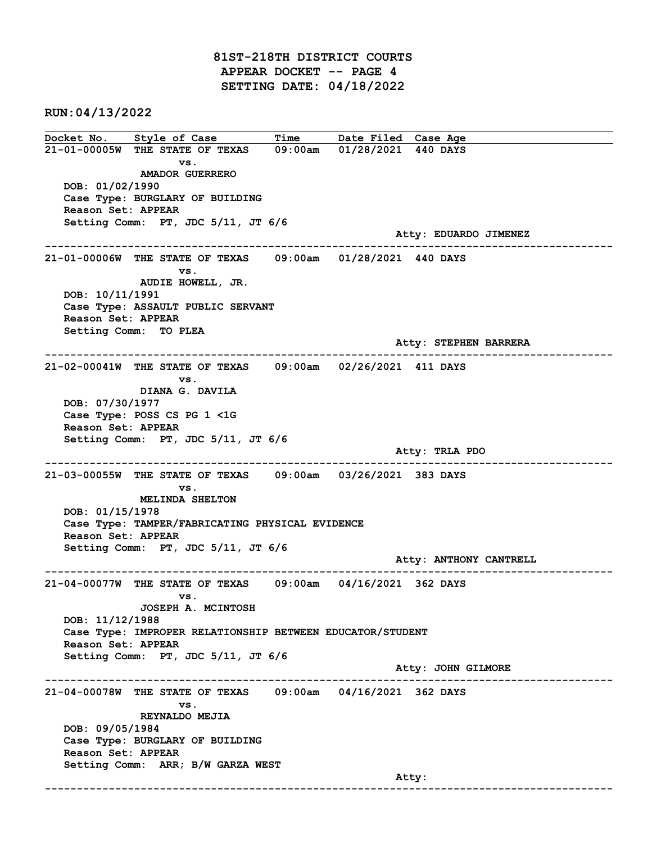81ST-218TH DISTRICT COURTS APPEAR DOCKET -- PAGE 4 SETTING DATE: 04/18/2022

RUN:04/13/2022

Docket No. Style of Case Time Date Filed Case Age 21-01-00005W THE STATE OF TEXAS 09:00am 01/28/2021 440 DAYS vs. AMADOR GUERRERO DOB: 01/02/1990 Case Type: BURGLARY OF BUILDING Reason Set: APPEAR Setting Comm: PT, JDC 5/11, JT 6/6 Atty: EDUARDO JIMENEZ ------------------------------------------------------------------------------------------------------------------------ 21-01-00006W THE STATE OF TEXAS 09:00am 01/28/2021 440 DAYS vs. AUDIE HOWELL, JR. DOB: 10/11/1991 Case Type: ASSAULT PUBLIC SERVANT Reason Set: APPEAR Setting Comm: TO PLEA Atty: STEPHEN BARRERA ------------------------------------------------------------------------------------------------------------------------ 21-02-00041W THE STATE OF TEXAS 09:00am 02/26/2021 411 DAYS vs. DIANA G. DAVILA DOB: 07/30/1977 Case Type: POSS CS PG 1 <1G Reason Set: APPEAR Setting Comm: PT, JDC 5/11, JT 6/6 Atty: TRLA PDO ------------------------------------------------------------------------------------------------------------------------ 21-03-00055W THE STATE OF TEXAS 09:00am 03/26/2021 383 DAYS vs. MELINDA SHELTON DOB: 01/15/1978 Case Type: TAMPER/FABRICATING PHYSICAL EVIDENCE Reason Set: APPEAR Setting Comm: PT, JDC 5/11, JT 6/6 Atty: ANTHONY CANTRELL ------------------------------------------------------------------------------------------------------------------------ 21-04-00077W THE STATE OF TEXAS 09:00am 04/16/2021 362 DAYS vs. JOSEPH A. MCINTOSH DOB: 11/12/1988 Case Type: IMPROPER RELATIONSHIP BETWEEN EDUCATOR/STUDENT Reason Set: APPEAR Setting Comm: PT, JDC 5/11, JT 6/6 Atty: JOHN GILMORE ------------------------------------------------------------------------------------------------------------------------ 21-04-00078W THE STATE OF TEXAS 09:00am 04/16/2021 362 DAYS vs. REYNALDO MEJIA DOB: 09/05/1984 Case Type: BURGLARY OF BUILDING Reason Set: APPEAR Setting Comm: ARR; B/W GARZA WEST and the control of the control of the control of the control of the control of the control of the control of the control of the control of the control of the control of the control of the control of the control of the cont ------------------------------------------------------------------------------------------------------------------------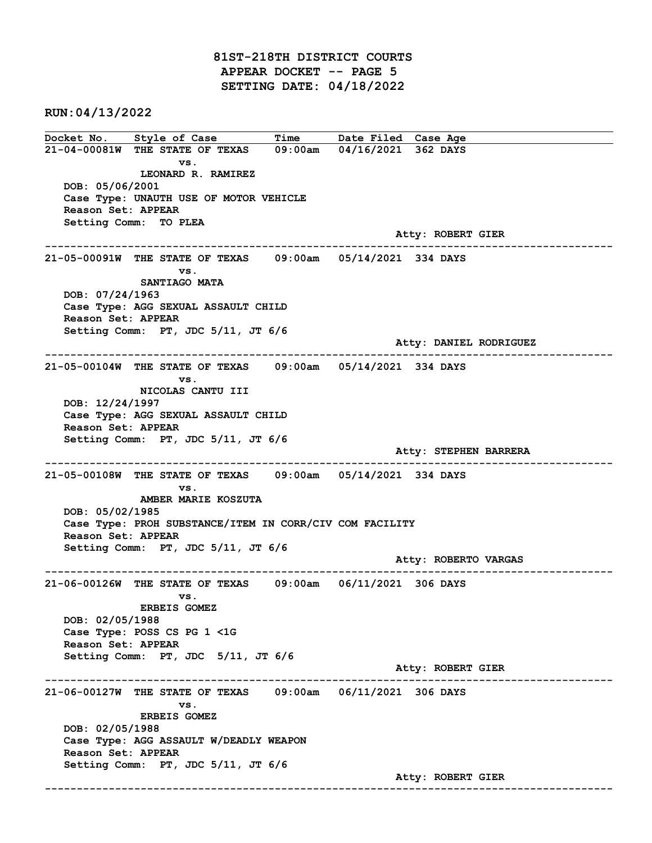81ST-218TH DISTRICT COURTS APPEAR DOCKET -- PAGE 5 SETTING DATE: 04/18/2022

RUN:04/13/2022

Docket No. Style of Case Time Date Filed Case Age 21-04-00081W THE STATE OF TEXAS 09:00am 04/16/2021 362 DAYS vs. LEONARD R. RAMIREZ DOB: 05/06/2001 Case Type: UNAUTH USE OF MOTOR VEHICLE Reason Set: APPEAR Setting Comm: TO PLEA Atty: ROBERT GIER ------------------------------------------------------------------------------------------------------------------------ 21-05-00091W THE STATE OF TEXAS 09:00am 05/14/2021 334 DAYS vs. SANTIAGO MATA DOB: 07/24/1963 Case Type: AGG SEXUAL ASSAULT CHILD Reason Set: APPEAR Setting Comm: PT, JDC 5/11, JT 6/6 Atty: DANIEL RODRIGUEZ ------------------------------------------------------------------------------------------------------------------------ 21-05-00104W THE STATE OF TEXAS 09:00am 05/14/2021 334 DAYS vs. NICOLAS CANTU III DOB: 12/24/1997 Case Type: AGG SEXUAL ASSAULT CHILD Reason Set: APPEAR Setting Comm: PT, JDC 5/11, JT 6/6 Atty: STEPHEN BARRERA ------------------------------------------------------------------------------------------------------------------------ 21-05-00108W THE STATE OF TEXAS 09:00am 05/14/2021 334 DAYS vs. AMBER MARIE KOSZUTA DOB: 05/02/1985 Case Type: PROH SUBSTANCE/ITEM IN CORR/CIV COM FACILITY Reason Set: APPEAR Setting Comm: PT, JDC 5/11, JT 6/6 Atty: ROBERTO VARGAS ------------------------------------------------------------------------------------------------------------------------ 21-06-00126W THE STATE OF TEXAS 09:00am 06/11/2021 306 DAYS vs. ERBEIS GOMEZ DOB: 02/05/1988 Case Type: POSS CS PG 1 <1G Reason Set: APPEAR Setting Comm: PT, JDC 5/11, JT 6/6 Atty: ROBERT GIER ------------------------------------------------------------------------------------------------------------------------ 21-06-00127W THE STATE OF TEXAS 09:00am 06/11/2021 306 DAYS vs. ERBEIS GOMEZ DOB: 02/05/1988 Case Type: AGG ASSAULT W/DEADLY WEAPON Reason Set: APPEAR Setting Comm: PT, JDC 5/11, JT 6/6 Atty: ROBERT GIER ------------------------------------------------------------------------------------------------------------------------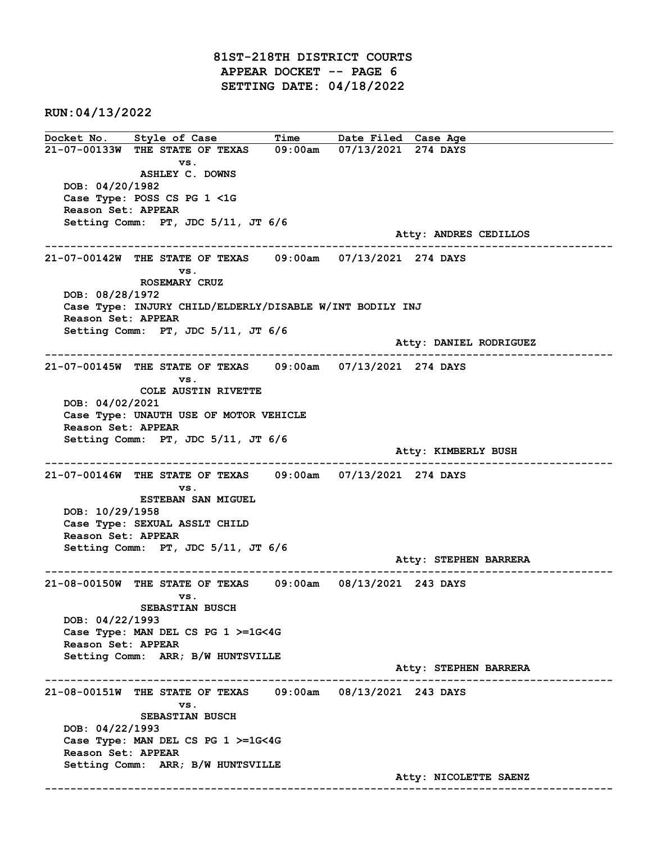81ST-218TH DISTRICT COURTS APPEAR DOCKET -- PAGE 6 SETTING DATE: 04/18/2022

RUN:04/13/2022

Docket No. Style of Case Time Date Filed Case Age 21-07-00133W THE STATE OF TEXAS 09:00am 07/13/2021 274 DAYS vs. ASHLEY C. DOWNS DOB: 04/20/1982 Case Type: POSS CS PG 1 <1G Reason Set: APPEAR Setting Comm: PT, JDC 5/11, JT 6/6 Atty: ANDRES CEDILLOS ------------------------------------------------------------------------------------------------------------------------ 21-07-00142W THE STATE OF TEXAS 09:00am 07/13/2021 274 DAYS vs. ROSEMARY CRUZ DOB: 08/28/1972 Case Type: INJURY CHILD/ELDERLY/DISABLE W/INT BODILY INJ Reason Set: APPEAR Setting Comm: PT, JDC 5/11, JT 6/6 Atty: DANIEL RODRIGUEZ ------------------------------------------------------------------------------------------------------------------------ 21-07-00145W THE STATE OF TEXAS 09:00am 07/13/2021 274 DAYS vs. COLE AUSTIN RIVETTE DOB: 04/02/2021 Case Type: UNAUTH USE OF MOTOR VEHICLE Reason Set: APPEAR Setting Comm: PT, JDC 5/11, JT 6/6 Atty: KIMBERLY BUSH ------------------------------------------------------------------------------------------------------------------------ 21-07-00146W THE STATE OF TEXAS 09:00am 07/13/2021 274 DAYS vs. ESTEBAN SAN MIGUEL DOB: 10/29/1958 Case Type: SEXUAL ASSLT CHILD Reason Set: APPEAR Setting Comm: PT, JDC 5/11, JT 6/6 Atty: STEPHEN BARRERA ------------------------------------------------------------------------------------------------------------------------ 21-08-00150W THE STATE OF TEXAS 09:00am 08/13/2021 243 DAYS vs. SEBASTIAN BUSCH DOB: 04/22/1993 Case Type: MAN DEL CS PG 1 >=1G<4G Reason Set: APPEAR Setting Comm: ARR; B/W HUNTSVILLE Atty: STEPHEN BARRERA ------------------------------------------------------------------------------------------------------------------------ 21-08-00151W THE STATE OF TEXAS 09:00am 08/13/2021 243 DAYS vs. SEBASTIAN BUSCH DOB: 04/22/1993 Case Type: MAN DEL CS PG 1 >=1G<4G Reason Set: APPEAR Setting Comm: ARR; B/W HUNTSVILLE Atty: NICOLETTE SAENZ ------------------------------------------------------------------------------------------------------------------------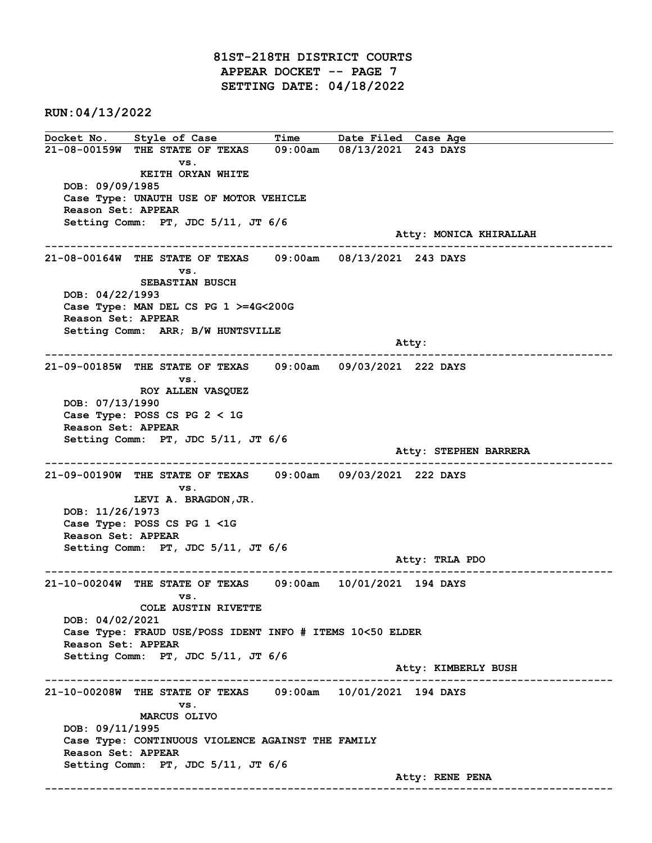81ST-218TH DISTRICT COURTS APPEAR DOCKET -- PAGE 7 SETTING DATE: 04/18/2022

RUN:04/13/2022

Docket No. Style of Case Time Date Filed Case Age 21-08-00159W THE STATE OF TEXAS 09:00am 08/13/2021 243 DAYS vs. KEITH ORYAN WHITE DOB: 09/09/1985 Case Type: UNAUTH USE OF MOTOR VEHICLE Reason Set: APPEAR Setting Comm: PT, JDC 5/11, JT 6/6 Atty: MONICA KHIRALLAH ------------------------------------------------------------------------------------------------------------------------ 21-08-00164W THE STATE OF TEXAS 09:00am 08/13/2021 243 DAYS vs. SEBASTIAN BUSCH DOB: 04/22/1993 Case Type: MAN DEL CS PG 1 >=4G<200G Reason Set: APPEAR Setting Comm: ARR; B/W HUNTSVILLE and the control of the control of the control of the control of the control of the control of the control of the control of the control of the control of the control of the control of the control of the control of the cont ------------------------------------------------------------------------------------------------------------------------ 21-09-00185W THE STATE OF TEXAS 09:00am 09/03/2021 222 DAYS vs. ROY ALLEN VASQUEZ DOB: 07/13/1990 Case Type: POSS CS PG 2 < 1G Reason Set: APPEAR Setting Comm: PT, JDC 5/11, JT 6/6 Atty: STEPHEN BARRERA ------------------------------------------------------------------------------------------------------------------------ 21-09-00190W THE STATE OF TEXAS 09:00am 09/03/2021 222 DAYS vs. LEVI A. BRAGDON,JR. DOB: 11/26/1973 Case Type: POSS CS PG 1 <1G Reason Set: APPEAR Setting Comm: PT, JDC 5/11, JT 6/6 Atty: TRLA PDO ------------------------------------------------------------------------------------------------------------------------ 21-10-00204W THE STATE OF TEXAS 09:00am 10/01/2021 194 DAYS vs. COLE AUSTIN RIVETTE DOB: 04/02/2021 Case Type: FRAUD USE/POSS IDENT INFO # ITEMS 10<50 ELDER Reason Set: APPEAR Setting Comm: PT, JDC 5/11, JT 6/6 Atty: KIMBERLY BUSH ------------------------------------------------------------------------------------------------------------------------ 21-10-00208W THE STATE OF TEXAS 09:00am 10/01/2021 194 DAYS vs. MARCUS OLIVO DOB: 09/11/1995 Case Type: CONTINUOUS VIOLENCE AGAINST THE FAMILY Reason Set: APPEAR Setting Comm: PT, JDC 5/11, JT 6/6 Atty: RENE PENA ------------------------------------------------------------------------------------------------------------------------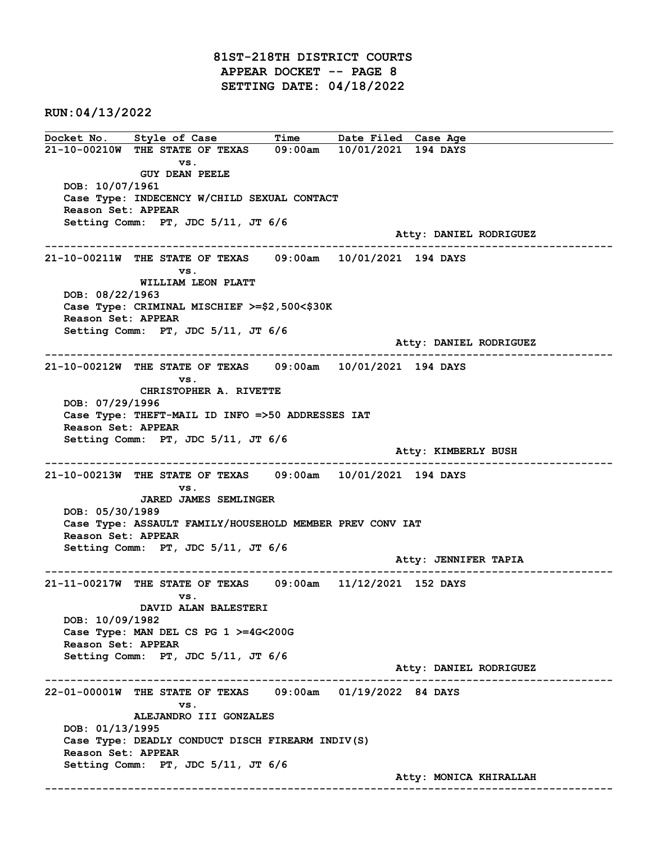81ST-218TH DISTRICT COURTS APPEAR DOCKET -- PAGE 8 SETTING DATE: 04/18/2022

RUN:04/13/2022

Docket No. Style of Case Time Date Filed Case Age 21-10-00210W THE STATE OF TEXAS 09:00am 10/01/2021 194 DAYS vs. GUY DEAN PEELE DOB: 10/07/1961 Case Type: INDECENCY W/CHILD SEXUAL CONTACT Reason Set: APPEAR Setting Comm: PT, JDC 5/11, JT 6/6 Atty: DANIEL RODRIGUEZ ------------------------------------------------------------------------------------------------------------------------ 21-10-00211W THE STATE OF TEXAS 09:00am 10/01/2021 194 DAYS vs. WILLIAM LEON PLATT DOB: 08/22/1963 Case Type: CRIMINAL MISCHIEF >=\$2,500<\$30K Reason Set: APPEAR Setting Comm: PT, JDC 5/11, JT 6/6 Atty: DANIEL RODRIGUEZ ------------------------------------------------------------------------------------------------------------------------ 21-10-00212W THE STATE OF TEXAS 09:00am 10/01/2021 194 DAYS vs. CHRISTOPHER A. RIVETTE DOB: 07/29/1996 Case Type: THEFT-MAIL ID INFO =>50 ADDRESSES IAT Reason Set: APPEAR Setting Comm: PT, JDC 5/11, JT 6/6 Atty: KIMBERLY BUSH ------------------------------------------------------------------------------------------------------------------------ 21-10-00213W THE STATE OF TEXAS 09:00am 10/01/2021 194 DAYS vs. JARED JAMES SEMLINGER DOB: 05/30/1989 Case Type: ASSAULT FAMILY/HOUSEHOLD MEMBER PREV CONV IAT Reason Set: APPEAR Setting Comm: PT, JDC 5/11, JT 6/6 Atty: JENNIFER TAPIA ------------------------------------------------------------------------------------------------------------------------ 21-11-00217W THE STATE OF TEXAS 09:00am 11/12/2021 152 DAYS vs. DAVID ALAN BALESTERI DOB: 10/09/1982 Case Type: MAN DEL CS PG 1 >=4G<200G Reason Set: APPEAR Setting Comm: PT, JDC 5/11, JT 6/6 Atty: DANIEL RODRIGUEZ ------------------------------------------------------------------------------------------------------------------------ 22-01-00001W THE STATE OF TEXAS 09:00am 01/19/2022 84 DAYS vs. ALEJANDRO III GONZALES DOB: 01/13/1995 Case Type: DEADLY CONDUCT DISCH FIREARM INDIV(S) Reason Set: APPEAR Setting Comm: PT, JDC 5/11, JT 6/6 Atty: MONICA KHIRALLAH ------------------------------------------------------------------------------------------------------------------------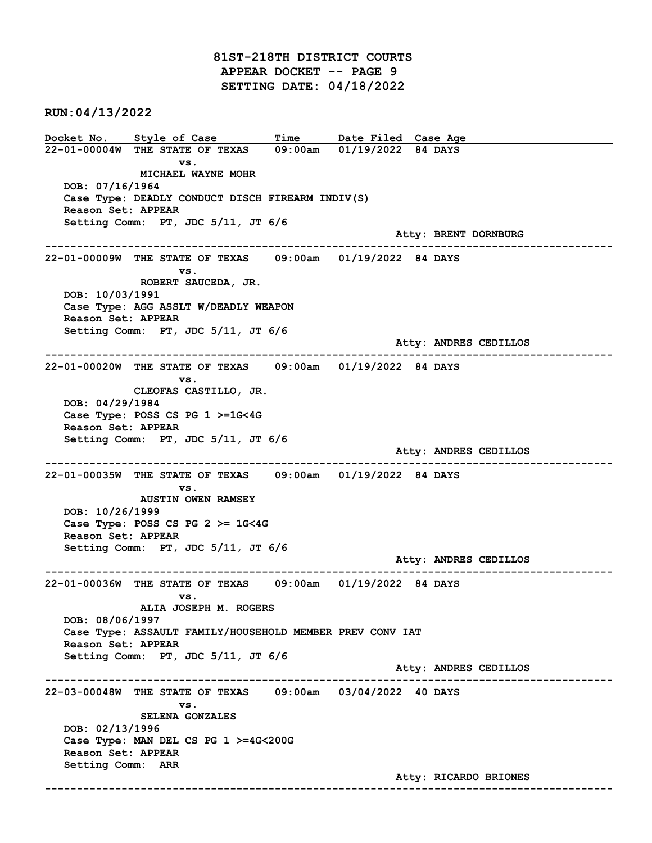81ST-218TH DISTRICT COURTS APPEAR DOCKET -- PAGE 9 SETTING DATE: 04/18/2022

RUN:04/13/2022

Docket No. Style of Case Time Date Filed Case Age 22-01-00004W THE STATE OF TEXAS 09:00am 01/19/2022 84 DAYS vs. MICHAEL WAYNE MOHR DOB: 07/16/1964 Case Type: DEADLY CONDUCT DISCH FIREARM INDIV(S) Reason Set: APPEAR Setting Comm: PT, JDC 5/11, JT 6/6 Atty: BRENT DORNBURG ------------------------------------------------------------------------------------------------------------------------ 22-01-00009W THE STATE OF TEXAS 09:00am 01/19/2022 84 DAYS vs. ROBERT SAUCEDA, JR. DOB: 10/03/1991 Case Type: AGG ASSLT W/DEADLY WEAPON Reason Set: APPEAR Setting Comm: PT, JDC 5/11, JT 6/6 Atty: ANDRES CEDILLOS ------------------------------------------------------------------------------------------------------------------------ 22-01-00020W THE STATE OF TEXAS 09:00am 01/19/2022 84 DAYS vs. CLEOFAS CASTILLO, JR. DOB: 04/29/1984 Case Type: POSS CS PG 1 >=1G<4G Reason Set: APPEAR Setting Comm: PT, JDC 5/11, JT 6/6 Atty: ANDRES CEDILLOS ------------------------------------------------------------------------------------------------------------------------ 22-01-00035W THE STATE OF TEXAS 09:00am 01/19/2022 84 DAYS vs. AUSTIN OWEN RAMSEY DOB: 10/26/1999 Case Type: POSS CS PG  $2 \ge 1$ G<4G Reason Set: APPEAR Setting Comm: PT, JDC 5/11, JT 6/6 Atty: ANDRES CEDILLOS ------------------------------------------------------------------------------------------------------------------------ 22-01-00036W THE STATE OF TEXAS 09:00am 01/19/2022 84 DAYS vs. ALIA JOSEPH M. ROGERS DOB: 08/06/1997 Case Type: ASSAULT FAMILY/HOUSEHOLD MEMBER PREV CONV IAT Reason Set: APPEAR Setting Comm: PT, JDC 5/11, JT 6/6 Atty: ANDRES CEDILLOS ------------------------------------------------------------------------------------------------------------------------ 22-03-00048W THE STATE OF TEXAS 09:00am 03/04/2022 40 DAYS vs. SELENA GONZALES DOB: 02/13/1996 Case Type: MAN DEL CS PG 1 >=4G<200G Reason Set: APPEAR Setting Comm: ARR Atty: RICARDO BRIONES ------------------------------------------------------------------------------------------------------------------------